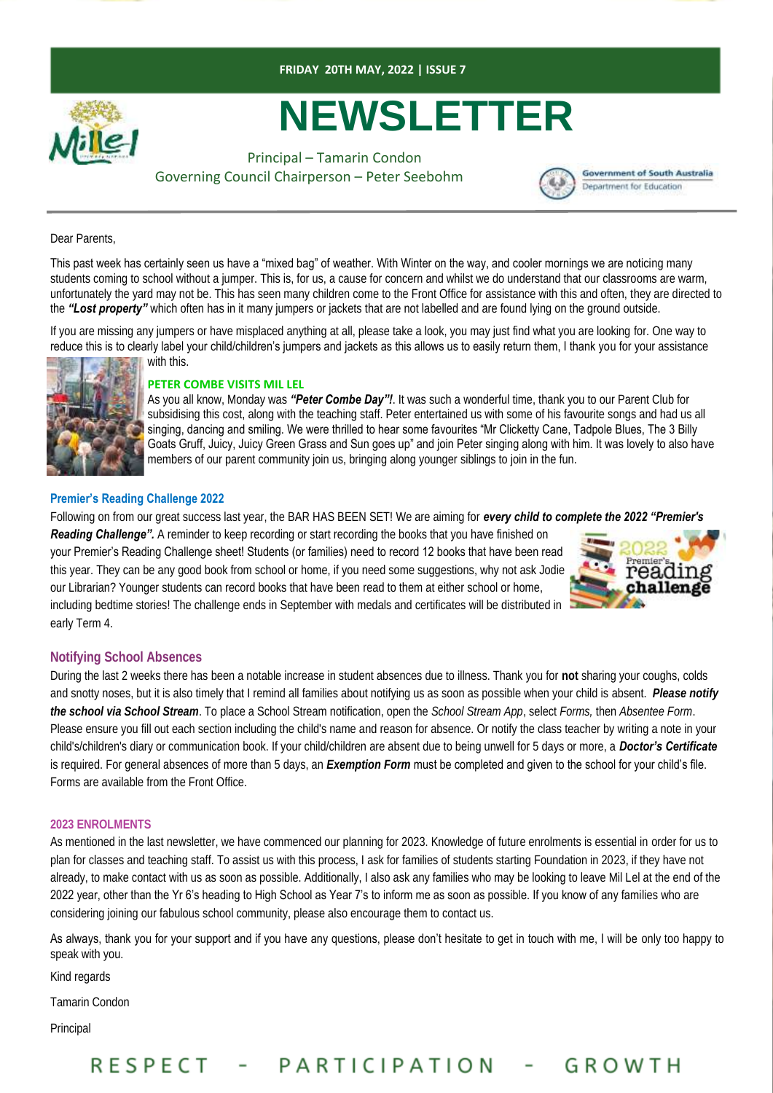



# **NEWSLETTER**

Principal – Tamarin Condon Governing Council Chairperson – Peter Seebohm



Dear Parents,

This past week has certainly seen us have a "mixed bag" of weather. With Winter on the way, and cooler mornings we are noticing many students coming to school without a jumper. This is, for us, a cause for concern and whilst we do understand that our classrooms are warm, unfortunately the yard may not be. This has seen many children come to the Front Office for assistance with this and often, they are directed to the *"Lost property"* which often has in it many jumpers or jackets that are not labelled and are found lying on the ground outside.

If you are missing any jumpers or have misplaced anything at all, please take a look, you may just find what you are looking for. One way to reduce this is to clearly label your child/children's jumpers and jackets as this allows us to easily return them, I thank you for your assistance with this.



#### **PETER COMBE VISITS MIL LEL**

As you all know, Monday was *"Peter Combe Day"!*. It was such a wonderful time, thank you to our Parent Club for subsidising this cost, along with the teaching staff. Peter entertained us with some of his favourite songs and had us all singing, dancing and smiling. We were thrilled to hear some favourites "Mr Clicketty Cane, Tadpole Blues, The 3 Billy Goats Gruff, Juicy, Juicy Green Grass and Sun goes up" and join Peter singing along with him. It was lovely to also have members of our parent community join us, bringing along younger siblings to join in the fun.

#### **Premier's Reading Challenge 2022**

Following on from our great success last year, the BAR HAS BEEN SET! We are aiming for *every child to complete the 2022 "Premier's* 

**Reading Challenge".** A reminder to keep recording or start recording the books that you have finished on your Premier's Reading Challenge sheet! Students (or families) need to record 12 books that have been read this year. They can be any good book from school or home, if you need some suggestions, why not ask Jodie our Librarian? Younger students can record books that have been read to them at either school or home, including bedtime stories! The challenge ends in September with medals and certificates will be distributed in early Term 4.



#### **Notifying School Absences**

During the last 2 weeks there has been a notable increase in student absences due to illness. Thank you for **not** sharing your coughs, colds and snotty noses, but it is also timely that I remind all families about notifying us as soon as possible when your child is absent. *Please notify the school via School Stream*. To place a School Stream notification, open the *School Stream App*, select *Forms,* then *Absentee Form*. Please ensure you fill out each section including the child's name and reason for absence. Or notify the class teacher by writing a note in your child's/children's diary or communication book. If your child/children are absent due to being unwell for 5 days or more, a *Doctor's Certificate*  is required. For general absences of more than 5 days, an *Exemption Form* must be completed and given to the school for your child's file. Forms are available from the Front Office.

#### **2023 ENROLMENTS**

As mentioned in the last newsletter, we have commenced our planning for 2023. Knowledge of future enrolments is essential in order for us to plan for classes and teaching staff. To assist us with this process, I ask for families of students starting Foundation in 2023, if they have not already, to make contact with us as soon as possible. Additionally, I also ask any families who may be looking to leave Mil Lel at the end of the 2022 year, other than the Yr 6's heading to High School as Year 7's to inform me as soon as possible. If you know of any families who are considering joining our fabulous school community, please also encourage them to contact us.

As always, thank you for your support and if you have any questions, please don't hesitate to get in touch with me, I will be only too happy to speak with you.

Kind regards

Tamarin Condon

Principal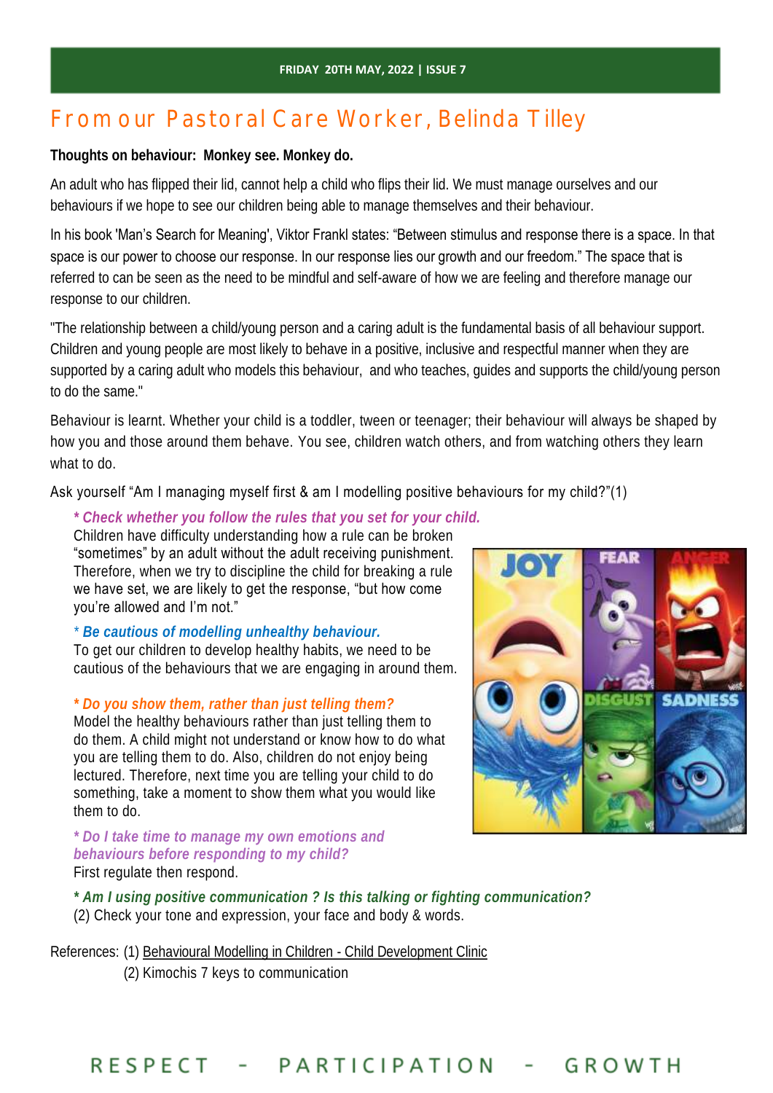# From our Pastoral Care Worker, Belinda Tilley

**Thoughts on behaviour: Monkey see. Monkey do.** 

An adult who has flipped their lid, cannot help a child who flips their lid. We must manage ourselves and our behaviours if we hope to see our children being able to manage themselves and their behaviour.

In his book 'Man's Search for Meaning', Viktor Frankl states: "Between stimulus and response there is a space. In that space is our power to choose our response. In our response lies our growth and our freedom." The space that is referred to can be seen as the need to be mindful and self-aware of how we are feeling and therefore manage our response to our children.

"The relationship between a child/young person and a caring adult is the fundamental basis of all behaviour support. Children and young people are most likely to behave in a positive, inclusive and respectful manner when they are supported by a caring adult who models this behaviour, and who teaches, guides and supports the child/young person to do the same."

Behaviour is learnt. Whether your child is a toddler, tween or teenager; their behaviour will always be shaped by how you and those around them behave. You see, children watch others, and from watching others they learn what to do.

Ask yourself "Am I managing myself first & am I modelling positive behaviours for my child?"(1)

*\* Check whether you follow the rules that you set for your child.*  Children have difficulty understanding how a rule can be broken "sometimes" by an adult without the adult receiving punishment. Therefore, when we try to discipline the child for breaking a rule we have set, we are likely to get the response, "but how come you're allowed and I'm not."

*\* Be cautious of modelling unhealthy behaviour.*  To get our children to develop healthy habits, we need to be cautious of the behaviours that we are engaging in around them.

## *\* Do you show them, rather than just telling them?*

Model the healthy behaviours rather than just telling them to do them. A child might not understand or know how to do what you are telling them to do. Also, children do not enjoy being lectured. Therefore, next time you are telling your child to do something, take a moment to show them what you would like them to do.

*\* Do I take time to manage my own emotions and behaviours before responding to my child?* First regulate then respond.



*\* Am I using positive communication ? Is this talking or fighting communication?*  (2) Check your tone and expression, your face and body & words.

References: (1) [Behavioural Modelling in Children -](https://www.childdevelopmentclinic.com.au/behavioural-modelling.html) Child Development Clinic

(2) Kimochis 7 keys to communication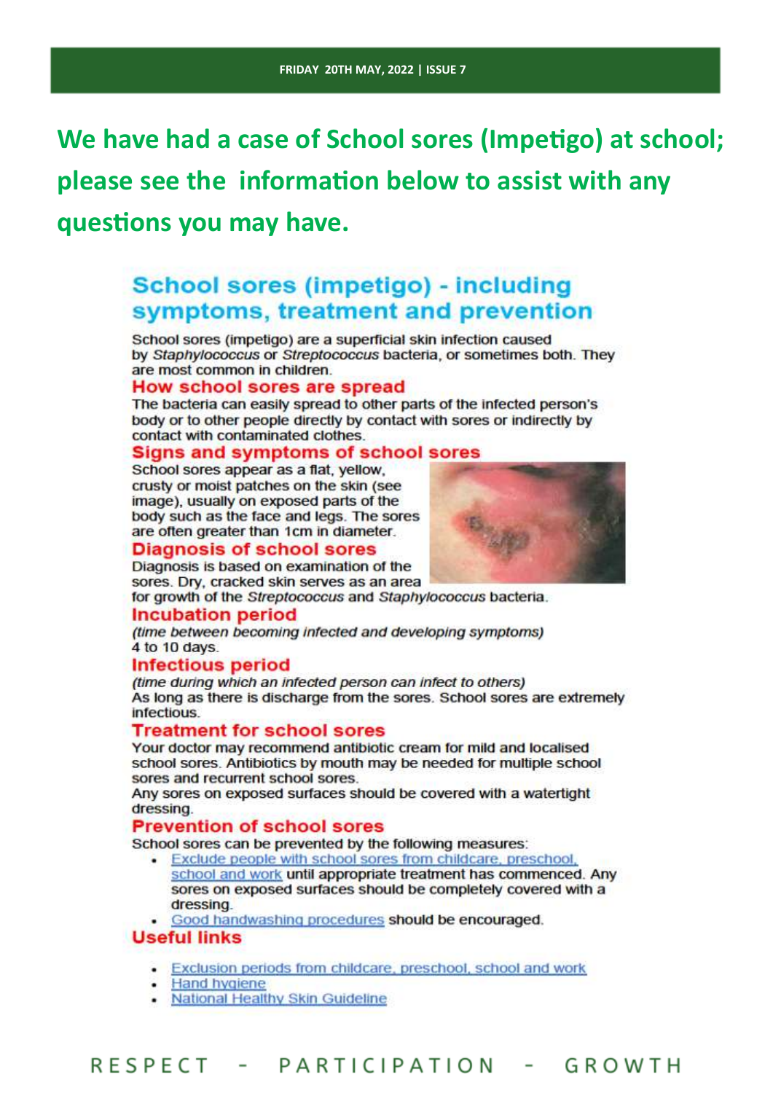We have had a case of School sores (Impetigo) at school; please see the information below to assist with any questions you may have.

# School sores (impetigo) - including symptoms, treatment and prevention

School sores (impetigo) are a superficial skin infection caused by Staphylococcus or Streptococcus bacteria, or sometimes both. They are most common in children.

#### How school sores are spread

The bacteria can easily spread to other parts of the infected person's body or to other people directly by contact with sores or indirectly by contact with contaminated clothes.

## **Signs and symptoms of school sores**

School sores appear as a flat, yellow, crusty or moist patches on the skin (see image), usually on exposed parts of the body such as the face and legs. The sores are often greater than 1cm in diameter.

## **Diagnosis of school sores**

Diagnosis is based on examination of the sores. Dry, cracked skin serves as an area

for growth of the Streptococcus and Staphylococcus bacteria.

#### Incubation period

(time between becoming infected and developing symptoms) 4 to 10 days.

## **Infectious period**

(time during which an infected person can infect to others) As long as there is discharge from the sores. School sores are extremely infectious.

## **Treatment for school sores**

Your doctor may recommend antibiotic cream for mild and localised school sores. Antibiotics by mouth may be needed for multiple school sores and recurrent school sores.

Any sores on exposed surfaces should be covered with a watertight dressing.

## **Prevention of school sores**

School sores can be prevented by the following measures:

- . Exclude people with school sores from childcare, preschool, school and work until appropriate treatment has commenced. Any sores on exposed surfaces should be completely covered with a dressing.
- . Good handwashing procedures should be encouraged.

## **Useful links**

- . Exclusion periods from childcare, preschool, school and work
- **Hand hygiene**
- National Healthy Skin Guideline

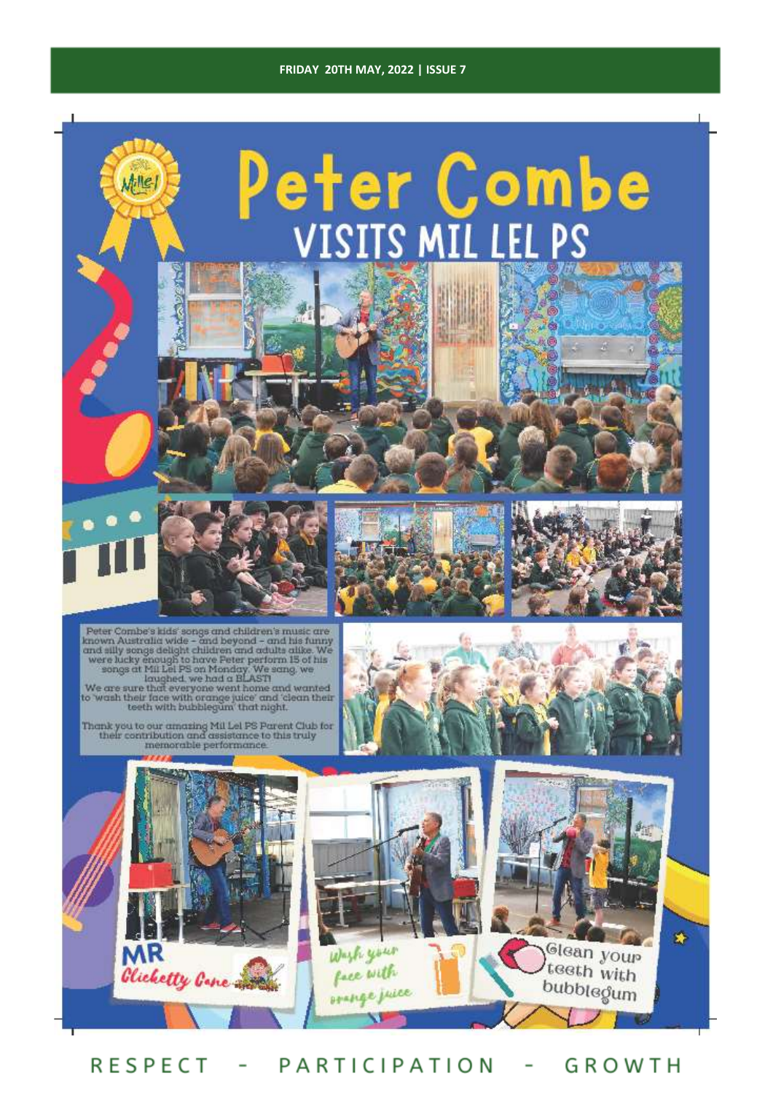#### **FRIDAY 20TH MAY, 2022 | ISSUE 7**



**RESPECT** PARTICIPATION GROWTH